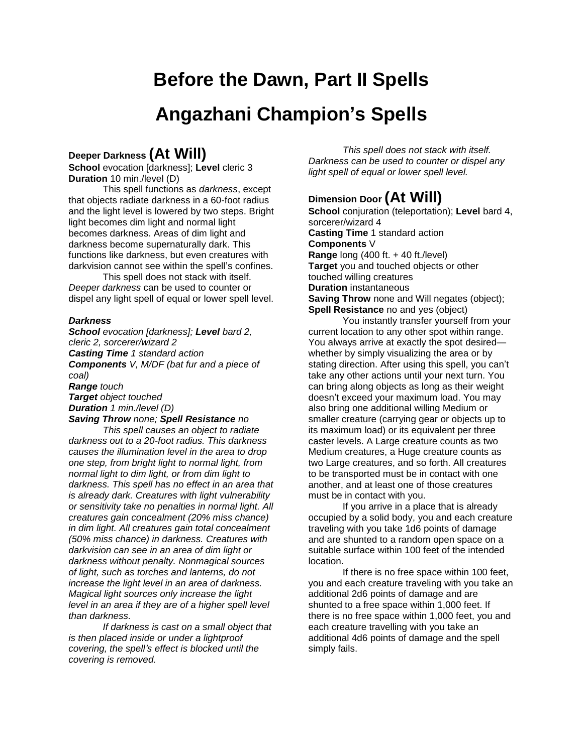# **Before the Dawn, Part II Spells Angazhani Champion's Spells**

## **Deeper Darkness (At Will)**

**School** evocation [darkness]; **Level** cleric 3 **Duration** 10 min./level (D)

This spell functions as *darkness*, except that objects radiate darkness in a 60-foot radius and the light level is lowered by two steps. Bright light becomes dim light and normal light becomes darkness. Areas of dim light and darkness become supernaturally dark. This functions like darkness, but even creatures with darkvision cannot see within the spell's confines.

This spell does not stack with itself. *Deeper darkness* can be used to counter or dispel any light spell of equal or lower spell level.

#### *Darkness*

*School evocation [darkness]; Level bard 2, cleric 2, sorcerer/wizard 2 Casting Time 1 standard action Components V, M/DF (bat fur and a piece of coal) Range touch Target object touched Duration 1 min./level (D) Saving Throw none; Spell Resistance no*

*This spell causes an object to radiate darkness out to a 20-foot radius. This darkness causes the illumination level in the area to drop one step, from bright light to normal light, from normal light to dim light, or from dim light to darkness. This spell has no effect in an area that is already dark. Creatures with light vulnerability or sensitivity take no penalties in normal light. All creatures gain concealment (20% miss chance) in dim light. All creatures gain total concealment (50% miss chance) in darkness. Creatures with darkvision can see in an area of dim light or darkness without penalty. Nonmagical sources of light, such as torches and lanterns, do not increase the light level in an area of darkness. Magical light sources only increase the light level in an area if they are of a higher spell level than darkness.*

*If darkness is cast on a small object that is then placed inside or under a lightproof covering, the spell's effect is blocked until the covering is removed.*

*This spell does not stack with itself. Darkness can be used to counter or dispel any light spell of equal or lower spell level.*

### **Dimension Door (At Will)**

**School** conjuration (teleportation); **Level** bard 4, sorcerer/wizard 4 **Casting Time** 1 standard action **Components** V **Range** long (400 ft. + 40 ft./level) **Target** you and touched objects or other touched willing creatures **Duration** instantaneous **Saving Throw** none and Will negates (object); **Spell Resistance** no and yes (object) You instantly transfer yourself from your

current location to any other spot within range. You always arrive at exactly the spot desired whether by simply visualizing the area or by stating direction. After using this spell, you can't take any other actions until your next turn. You can bring along objects as long as their weight doesn't exceed your maximum load. You may also bring one additional willing Medium or smaller creature (carrying gear or objects up to its maximum load) or its equivalent per three caster levels. A Large creature counts as two Medium creatures, a Huge creature counts as two Large creatures, and so forth. All creatures to be transported must be in contact with one another, and at least one of those creatures must be in contact with you.

If you arrive in a place that is already occupied by a solid body, you and each creature traveling with you take 1d6 points of damage and are shunted to a random open space on a suitable surface within 100 feet of the intended location.

If there is no free space within 100 feet, you and each creature traveling with you take an additional 2d6 points of damage and are shunted to a free space within 1,000 feet. If there is no free space within 1,000 feet, you and each creature travelling with you take an additional 4d6 points of damage and the spell simply fails.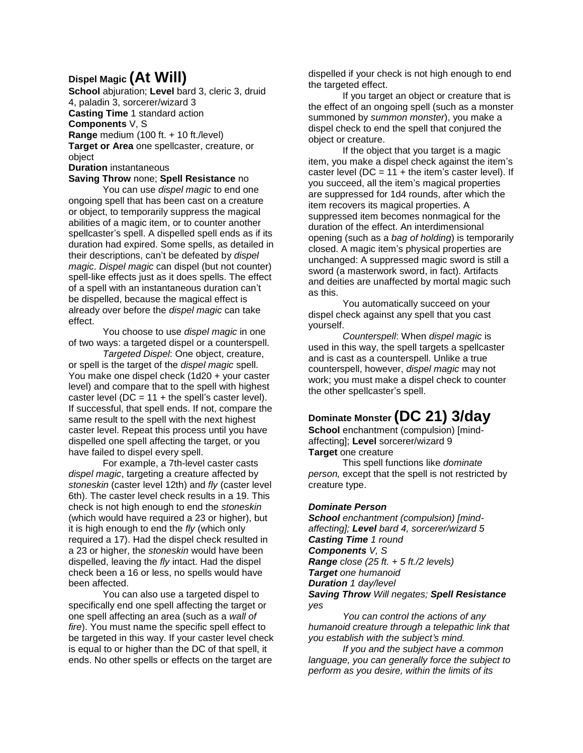### **Dispel Magic (At Will)**

**School** abjuration; **Level** bard 3, cleric 3, druid 4, paladin 3, sorcerer/wizard 3 **Casting Time** 1 standard action **Components** V, S **Range** medium (100 ft. + 10 ft./level) **Target or Area** one spellcaster, creature, or object

**Duration** instantaneous

**Saving Throw** none; **Spell Resistance** no You can use *dispel magic* to end one ongoing spell that has been cast on a creature or object, to temporarily suppress the magical abilities of a magic item, or to counter another spellcaster's spell. A dispelled spell ends as if its duration had expired. Some spells, as detailed in their descriptions, can't be defeated by *dispel magic*. *Dispel magic* can dispel (but not counter) spell-like effects just as it does spells. The effect of a spell with an instantaneous duration can't be dispelled, because the magical effect is already over before the *dispel magic* can take effect.

You choose to use *dispel magic* in one of two ways: a targeted dispel or a counterspell.

*Targeted Dispel*: One object, creature, or spell is the target of the *dispel magic* spell. You make one dispel check (1d20 + your caster level) and compare that to the spell with highest caster level ( $DC = 11 +$  the spell's caster level). If successful, that spell ends. If not, compare the same result to the spell with the next highest caster level. Repeat this process until you have dispelled one spell affecting the target, or you have failed to dispel every spell.

For example, a 7th-level caster casts *dispel magic*, targeting a creature affected by *stoneskin* (caster level 12th) and *fly* (caster level 6th). The caster level check results in a 19. This check is not high enough to end the *stoneskin*  (which would have required a 23 or higher), but it is high enough to end the *fly* (which only required a 17). Had the dispel check resulted in a 23 or higher, the *stoneskin* would have been dispelled, leaving the *fly* intact. Had the dispel check been a 16 or less, no spells would have been affected.

You can also use a targeted dispel to specifically end one spell affecting the target or one spell affecting an area (such as a *wall of fire*). You must name the specific spell effect to be targeted in this way. If your caster level check is equal to or higher than the DC of that spell, it ends. No other spells or effects on the target are

dispelled if your check is not high enough to end the targeted effect.

If you target an object or creature that is the effect of an ongoing spell (such as a monster summoned by *summon monster*), you make a dispel check to end the spell that conjured the object or creature.

If the object that you target is a magic item, you make a dispel check against the item's caster level ( $DC = 11 +$  the item's caster level). If you succeed, all the item's magical properties are suppressed for 1d4 rounds, after which the item recovers its magical properties. A suppressed item becomes nonmagical for the duration of the effect. An interdimensional opening (such as a *bag of holding*) is temporarily closed. A magic item's physical properties are unchanged: A suppressed magic sword is still a sword (a masterwork sword, in fact). Artifacts and deities are unaffected by mortal magic such as this.

You automatically succeed on your dispel check against any spell that you cast yourself.

*Counterspell*: When *dispel magic* is used in this way, the spell targets a spellcaster and is cast as a counterspell. Unlike a true counterspell, however, *dispel magic* may not work; you must make a dispel check to counter the other spellcaster's spell.

### **Dominate Monster (DC 21) 3/day**

**School** enchantment (compulsion) [mindaffecting]; **Level** sorcerer/wizard 9 **Target** one creature

This spell functions like *dominate person,* except that the spell is not restricted by creature type.

#### *Dominate Person*

*School enchantment (compulsion) [mindaffecting]; Level bard 4, sorcerer/wizard 5 Casting Time 1 round Components V, S Range close (25 ft. + 5 ft./2 levels) Target one humanoid Duration 1 day/level Saving Throw Will negates; Spell Resistance yes*

*You can control the actions of any humanoid creature through a telepathic link that you establish with the subject's mind.*

*If you and the subject have a common language, you can generally force the subject to perform as you desire, within the limits of its*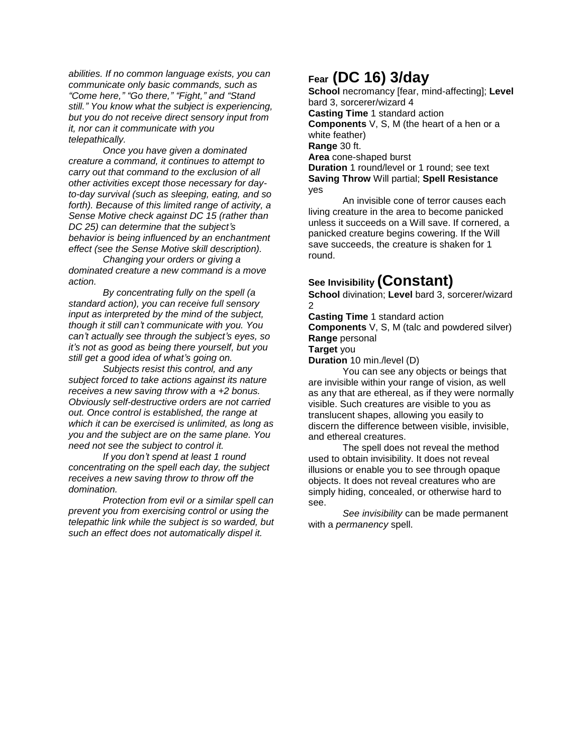*abilities. If no common language exists, you can communicate only basic commands, such as "Come here," "Go there," "Fight," and "Stand still." You know what the subject is experiencing, but you do not receive direct sensory input from it, nor can it communicate with you telepathically.*

*Once you have given a dominated creature a command, it continues to attempt to carry out that command to the exclusion of all other activities except those necessary for dayto-day survival (such as sleeping, eating, and so forth). Because of this limited range of activity, a Sense Motive check against DC 15 (rather than DC 25) can determine that the subject's behavior is being influenced by an enchantment effect (see the Sense Motive skill description).*

*Changing your orders or giving a dominated creature a new command is a move action.*

*By concentrating fully on the spell (a standard action), you can receive full sensory input as interpreted by the mind of the subject, though it still can't communicate with you. You can't actually see through the subject's eyes, so it's not as good as being there yourself, but you still get a good idea of what's going on.*

*Subjects resist this control, and any subject forced to take actions against its nature receives a new saving throw with a +2 bonus. Obviously self-destructive orders are not carried out. Once control is established, the range at which it can be exercised is unlimited, as long as you and the subject are on the same plane. You need not see the subject to control it.*

*If you don't spend at least 1 round concentrating on the spell each day, the subject receives a new saving throw to throw off the domination.*

*Protection from evil or a similar spell can prevent you from exercising control or using the telepathic link while the subject is so warded, but such an effect does not automatically dispel it.*

### **Fear (DC 16) 3/day**

**School** necromancy [fear, mind-affecting]; **Level**  bard 3, sorcerer/wizard 4 **Casting Time** 1 standard action **Components** V, S, M (the heart of a hen or a white feather) **Range** 30 ft. **Area** cone-shaped burst **Duration** 1 round/level or 1 round; see text **Saving Throw** Will partial; **Spell Resistance**  yes

An invisible cone of terror causes each living creature in the area to become panicked unless it succeeds on a Will save. If cornered, a panicked creature begins cowering. If the Will save succeeds, the creature is shaken for 1 round.

### **See Invisibility (Constant)**

**School** divination: Level bard 3, sorcerer/wizard  $\mathfrak{D}$ 

**Casting Time** 1 standard action

**Components** V, S, M (talc and powdered silver) **Range** personal

**Target** you

**Duration** 10 min./level (D)

You can see any objects or beings that are invisible within your range of vision, as well as any that are ethereal, as if they were normally visible. Such creatures are visible to you as translucent shapes, allowing you easily to discern the difference between visible, invisible, and ethereal creatures.

The spell does not reveal the method used to obtain invisibility. It does not reveal illusions or enable you to see through opaque objects. It does not reveal creatures who are simply hiding, concealed, or otherwise hard to see.

*See invisibility* can be made permanent with a *permanency* spell.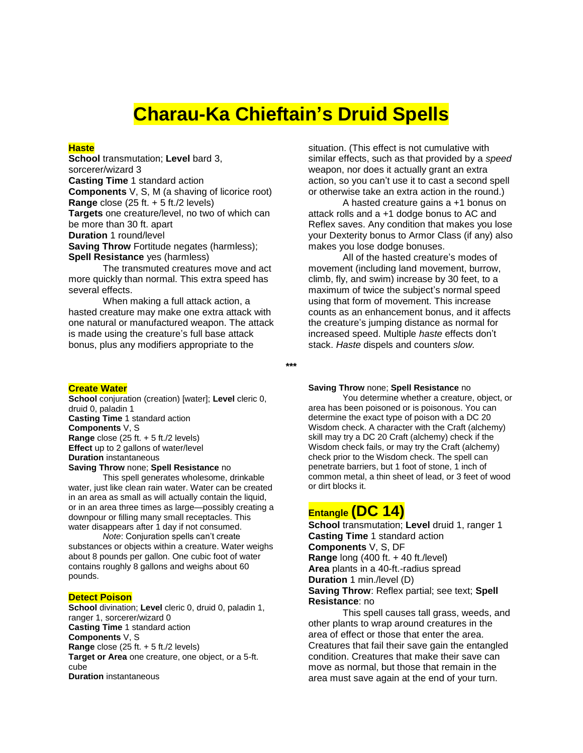# **Charau-Ka Chieftain's Druid Spells**

#### **Haste**

**School transmutation: Level bard 3.** sorcerer/wizard 3 **Casting Time** 1 standard action **Components** V, S, M (a shaving of licorice root) **Range** close (25 ft. + 5 ft./2 levels) **Targets** one creature/level, no two of which can be more than 30 ft. apart **Duration** 1 round/level **Saving Throw Fortitude negates (harmless); Spell Resistance** yes (harmless)

The transmuted creatures move and act more quickly than normal. This extra speed has several effects.

When making a full attack action, a hasted creature may make one extra attack with one natural or manufactured weapon. The attack is made using the creature's full base attack bonus, plus any modifiers appropriate to the

**\*\*\***

#### **Create Water**

**School** conjuration (creation) [water]; **Level** cleric 0, druid 0, paladin 1 **Casting Time** 1 standard action **Components** V, S **Range** close (25 ft. + 5 ft./2 levels) **Effect** up to 2 gallons of water/level **Duration** instantaneous **Saving Throw** none; **Spell Resistance** no

This spell generates wholesome, drinkable water, just like clean rain water. Water can be created in an area as small as will actually contain the liquid, or in an area three times as large—possibly creating a downpour or filling many small receptacles. This water disappears after 1 day if not consumed.

*Note*: Conjuration spells can't create substances or objects within a creature. Water weighs about 8 pounds per gallon. One cubic foot of water contains roughly 8 gallons and weighs about 60 pounds.

#### **Detect Poison**

**School divination; Level cleric 0, druid 0, paladin 1,** ranger 1, sorcerer/wizard 0 **Casting Time** 1 standard action **Components** V, S **Range** close (25 ft. + 5 ft./2 levels) **Target or Area** one creature, one object, or a 5-ft. cube **Duration** instantaneous

situation. (This effect is not cumulative with similar effects, such as that provided by a *speed*  weapon, nor does it actually grant an extra action, so you can't use it to cast a second spell or otherwise take an extra action in the round.)

A hasted creature gains a +1 bonus on attack rolls and a +1 dodge bonus to AC and Reflex saves. Any condition that makes you lose your Dexterity bonus to Armor Class (if any) also makes you lose dodge bonuses.

All of the hasted creature's modes of movement (including land movement, burrow, climb, fly, and swim) increase by 30 feet, to a maximum of twice the subject's normal speed using that form of movement. This increase counts as an enhancement bonus, and it affects the creature's jumping distance as normal for increased speed. Multiple *haste* effects don't stack. *Haste* dispels and counters *slow.*

#### **Saving Throw** none; **Spell Resistance** no

You determine whether a creature, object, or area has been poisoned or is poisonous. You can determine the exact type of poison with a DC 20 Wisdom check. A character with the Craft (alchemy) skill may try a DC 20 Craft (alchemy) check if the Wisdom check fails, or may try the Craft (alchemy) check prior to the Wisdom check. The spell can penetrate barriers, but 1 foot of stone, 1 inch of common metal, a thin sheet of lead, or 3 feet of wood or dirt blocks it.

### **Entangle (DC 14)**

**School** transmutation; **Level** druid 1, ranger 1 **Casting Time** 1 standard action **Components** V, S, DF **Range** long (400 ft. + 40 ft./level) **Area** plants in a 40-ft.-radius spread **Duration** 1 min./level (D) **Saving Throw**: Reflex partial; see text; **Spell Resistance**: no

This spell causes tall grass, weeds, and other plants to wrap around creatures in the area of effect or those that enter the area. Creatures that fail their save gain the entangled condition. Creatures that make their save can move as normal, but those that remain in the area must save again at the end of your turn.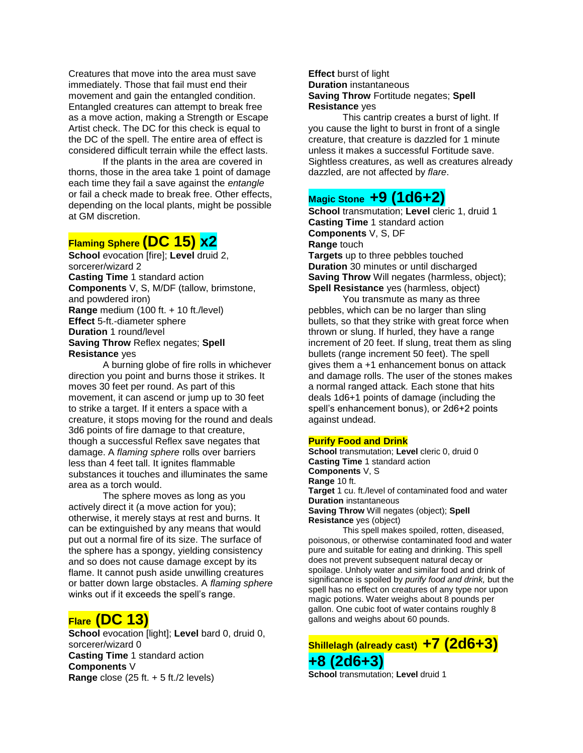Creatures that move into the area must save immediately. Those that fail must end their movement and gain the entangled condition. Entangled creatures can attempt to break free as a move action, making a Strength or Escape Artist check. The DC for this check is equal to the DC of the spell. The entire area of effect is considered difficult terrain while the effect lasts.

If the plants in the area are covered in thorns, those in the area take 1 point of damage each time they fail a save against the *entangle* or fail a check made to break free. Other effects, depending on the local plants, might be possible at GM discretion.

### **Flaming Sphere (DC 15) x2**

**School** evocation [fire]; **Level** druid 2, sorcerer/wizard 2 **Casting Time** 1 standard action **Components** V, S, M/DF (tallow, brimstone, and powdered iron) **Range** medium (100 ft. + 10 ft./level) **Effect** 5-ft.-diameter sphere **Duration** 1 round/level **Saving Throw** Reflex negates; **Spell Resistance** yes

A burning globe of fire rolls in whichever direction you point and burns those it strikes. It moves 30 feet per round. As part of this movement, it can ascend or jump up to 30 feet to strike a target. If it enters a space with a creature, it stops moving for the round and deals 3d6 points of fire damage to that creature, though a successful Reflex save negates that damage. A *flaming sphere* rolls over barriers less than 4 feet tall. It ignites flammable substances it touches and illuminates the same area as a torch would.

The sphere moves as long as you actively direct it (a move action for you); otherwise, it merely stays at rest and burns. It can be extinguished by any means that would put out a normal fire of its size. The surface of the sphere has a spongy, yielding consistency and so does not cause damage except by its flame. It cannot push aside unwilling creatures or batter down large obstacles. A *flaming sphere*  winks out if it exceeds the spell's range.

### **Flare (DC 13)**

**School** evocation [light]; Level bard 0, druid 0, sorcerer/wizard 0 **Casting Time** 1 standard action **Components** V **Range** close (25 ft. + 5 ft./2 levels)

**Effect** burst of light **Duration** instantaneous **Saving Throw** Fortitude negates; **Spell Resistance** yes

This cantrip creates a burst of light. If you cause the light to burst in front of a single creature, that creature is dazzled for 1 minute unless it makes a successful Fortitude save. Sightless creatures, as well as creatures already dazzled, are not affected by *flare*.

### **Magic Stone +9 (1d6+2)**

**School** transmutation; **Level** cleric 1, druid 1 **Casting Time** 1 standard action **Components** V, S, DF **Range** touch **Targets** up to three pebbles touched **Duration** 30 minutes or until discharged **Saving Throw** Will negates (harmless, object); **Spell Resistance** yes (harmless, object)

You transmute as many as three pebbles, which can be no larger than sling bullets, so that they strike with great force when thrown or slung. If hurled, they have a range increment of 20 feet. If slung, treat them as sling bullets (range increment 50 feet). The spell gives them a +1 enhancement bonus on attack and damage rolls. The user of the stones makes a normal ranged attack*.* Each stone that hits deals 1d6+1 points of damage (including the spell's enhancement bonus), or 2d6+2 points against undead.

#### **Purify Food and Drink**

**School transmutation; Level cleric 0, druid 0 Casting Time** 1 standard action **Components** V, S **Range** 10 ft. **Target** 1 cu. ft./level of contaminated food and water **Duration** instantaneous **Saving Throw** Will negates (object); **Spell Resistance** yes (object)

This spell makes spoiled, rotten, diseased, poisonous, or otherwise contaminated food and water pure and suitable for eating and drinking. This spell does not prevent subsequent natural decay or spoilage. Unholy water and similar food and drink of significance is spoiled by *purify food and drink,* but the spell has no effect on creatures of any type nor upon magic potions. Water weighs about 8 pounds per gallon. One cubic foot of water contains roughly 8 gallons and weighs about 60 pounds.

**Shillelagh (already cast) +7 (2d6+3) +8 (2d6+3) School** transmutation; **Level** druid 1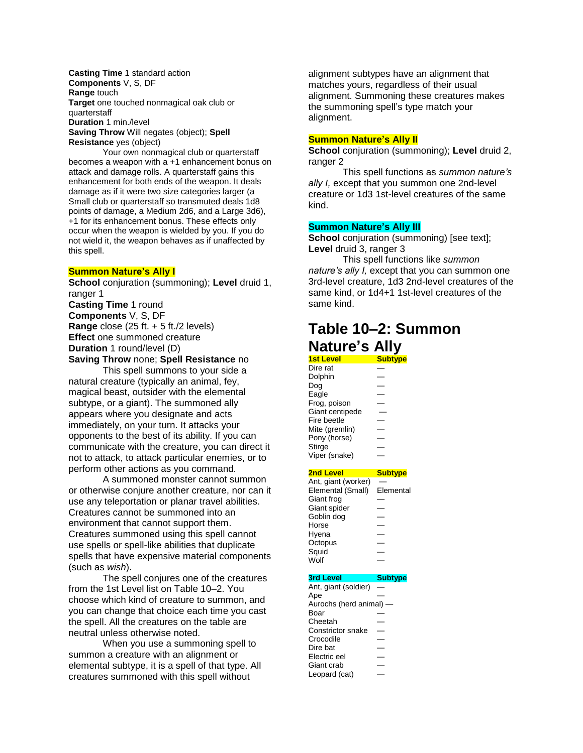**Casting Time** 1 standard action **Components** V, S, DF **Range** touch **Target** one touched nonmagical oak club or quarterstaff **Duration** 1 min./level **Saving Throw** Will negates (object); **Spell Resistance** yes (object)

Your own nonmagical club or quarterstaff becomes a weapon with a +1 enhancement bonus on attack and damage rolls. A quarterstaff gains this enhancement for both ends of the weapon. It deals damage as if it were two size categories larger (a Small club or quarterstaff so transmuted deals 1d8 points of damage, a Medium 2d6, and a Large 3d6), +1 for its enhancement bonus. These effects only occur when the weapon is wielded by you. If you do not wield it, the weapon behaves as if unaffected by this spell.

#### **Summon Nature's Ally I**

**School** conjuration (summoning); **Level** druid 1, ranger 1 **Casting Time** 1 round **Components** V, S, DF **Range** close (25 ft. + 5 ft./2 levels) **Effect** one summoned creature **Duration** 1 round/level (D) **Saving Throw** none; **Spell Resistance** no

This spell summons to your side a natural creature (typically an animal, fey, magical beast, outsider with the elemental subtype, or a giant). The summoned ally appears where you designate and acts immediately, on your turn. It attacks your opponents to the best of its ability. If you can communicate with the creature, you can direct it not to attack, to attack particular enemies, or to perform other actions as you command.

A summoned monster cannot summon or otherwise conjure another creature, nor can it use any teleportation or planar travel abilities. Creatures cannot be summoned into an environment that cannot support them. Creatures summoned using this spell cannot use spells or spell-like abilities that duplicate spells that have expensive material components (such as *wish*).

The spell conjures one of the creatures from the 1st Level list on Table 10–2. You choose which kind of creature to summon, and you can change that choice each time you cast the spell. All the creatures on the table are neutral unless otherwise noted.

When you use a summoning spell to summon a creature with an alignment or elemental subtype, it is a spell of that type. All creatures summoned with this spell without

alignment subtypes have an alignment that matches yours, regardless of their usual alignment. Summoning these creatures makes the summoning spell's type match your alignment.

#### **Summon Nature's Ally II**

**School** conjuration (summoning); **Level** druid 2, ranger 2

This spell functions as *summon nature's ally I,* except that you summon one 2nd-level creature or 1d3 1st-level creatures of the same kind.

#### **Summon Nature's Ally III**

**School** conjuration (summoning) [see text]; **Level** druid 3, ranger 3

This spell functions like *summon nature's ally I,* except that you can summon one 3rd-level creature, 1d3 2nd-level creatures of the same kind, or 1d4+1 1st-level creatures of the same kind.

### **Table 10–2: Summon Nature's Ally**

|                  | .              |
|------------------|----------------|
| <b>1st Level</b> | <b>Subtype</b> |
| Dire rat         |                |
| Dolphin          |                |
| Dog              |                |
| Eagle            |                |
| Frog, poison     |                |
| Giant centipede  |                |
| Fire beetle      |                |
| Mite (gremlin)   |                |
| Pony (horse)     |                |
| Stirge           |                |
| Viper (snake)    |                |

| 2nd Level           | <b>Subtype</b> |
|---------------------|----------------|
| Ant, giant (worker) |                |
| Elemental (Small)   | Elemental      |
| Giant frog          |                |
| Giant spider        |                |
| Goblin dog          |                |
| Horse               |                |
| Hyena               |                |
| Octopus             |                |
| Squid               |                |
| Wolf                |                |

| <b>3rd Level</b>        | <b>Subtype</b> |
|-------------------------|----------------|
| Ant, giant (soldier)    |                |
| Ape                     |                |
| Aurochs (herd animal) - |                |
| Boar                    |                |
| Cheetah                 |                |
| Constrictor snake       |                |
| Crocodile               |                |
| Dire bat                |                |
| Electric eel            |                |
| Giant crab              |                |
| Leopard (cat)           |                |
|                         |                |